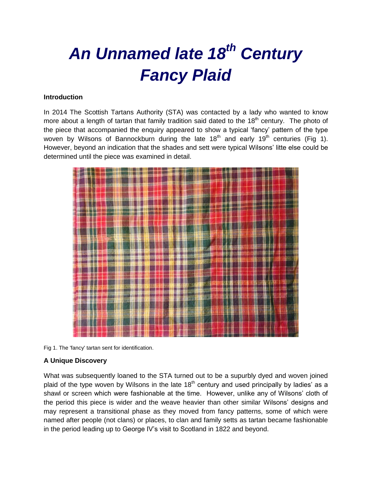# *An Unnamed late 18th Century Fancy Plaid*

### **Introduction**

In 2014 The Scottish Tartans Authority (STA) was contacted by a lady who wanted to know more about a length of tartan that family tradition said dated to the  $18<sup>th</sup>$  century. The photo of the piece that accompanied the enquiry appeared to show a typical 'fancy' pattern of the type woven by Wilsons of Bannockburn during the late  $18<sup>th</sup>$  and early  $19<sup>th</sup>$  centuries (Fig 1). However, beyond an indication that the shades and sett were typical Wilsons' litte else could be determined until the piece was examined in detail.



Fig 1. The 'fancy' tartan sent for identification.

## **A Unique Discovery**

What was subsequently loaned to the STA turned out to be a supurbly dyed and woven joined plaid of the type woven by Wilsons in the late  $18<sup>th</sup>$  century and used principally by ladies' as a shawl or screen which were fashionable at the time. However, unlike any of Wilsons' cloth of the period this piece is wider and the weave heavier than other similar Wilsons' designs and may represent a transitional phase as they moved from fancy patterns, some of which were named after people (not clans) or places, to clan and family setts as tartan became fashionable in the period leading up to George IV's visit to Scotland in 1822 and beyond.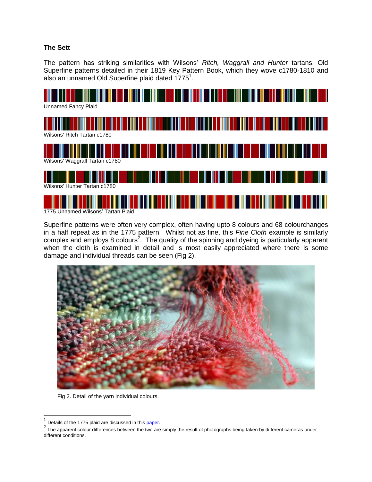#### **The Sett**

The pattern has striking similarities with Wilsons' *Ritch, Waggrall and Hunter* tartans, Old Superfine patterns detailed in their 1819 Key Pattern Book, which they wove c1780-1810 and also an unnamed Old Superfine plaid dated  $1775<sup>1</sup>$ .



Superfine patterns were often very complex, often having upto 8 colours and 68 colourchanges in a half repeat as in the 1775 pattern. Whilst not as fine, this *Fine Cloth* example is similarly complex and employs 8 colours<sup>2</sup>. The quality of the spinning and dyeing is particularly apparent when the cloth is examined in detail and is most easily appreciated where there is some damage and individual threads can be seen (Fig 2).



Fig 2. Detail of the yarn individual colours.

 $\overline{a}$ 

<sup>1</sup> Details of the 1775 plaid are discussed in this [paper.](http://www.scottishtartans.co.uk/Unnamed_Plaid_dated_1775.pdf)

 $2$  The apparent colour differences between the two are simply the result of photographs being taken by different cameras under different conditions.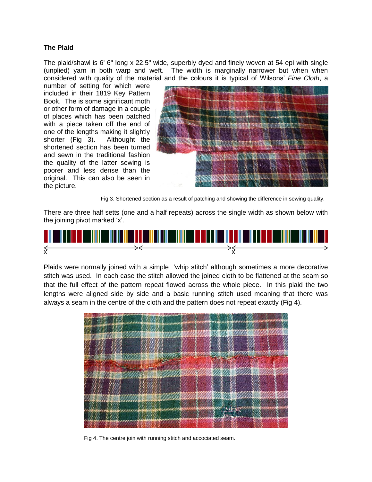#### **The Plaid**

The plaid/shawl is 6' 6" long x 22.5" wide, superbly dyed and finely woven at 54 epi with single (unplied) yarn in both warp and weft. The width is marginally narrower but when when considered with quality of the material and the colours it is typical of Wilsons' *Fine Cloth*, a

number of setting for which were included in their 1819 Key Pattern Book. The is some significant moth or other form of damage in a couple of places which has been patched with a piece taken off the end of one of the lengths making it slightly shorter (Fig 3). Althought the shortened section has been turned and sewn in the traditional fashion the quality of the latter sewing is poorer and less dense than the original. This can also be seen in the picture.



Fig 3. Shortened section as a result of patching and showing the difference in sewing quality.

There are three half setts (one and a half repeats) across the single width as shown below with the joining pivot marked 'x'.



Plaids were normally joined with a simple 'whip stitch' although sometimes a more decorative stitch was used. In each case the stitch allowed the joined cloth to be flattened at the seam so that the full effect of the pattern repeat flowed across the whole piece. In this plaid the two lengths were aligned side by side and a basic running stitch used meaning that there was always a seam in the centre of the cloth and the pattern does not repeat exactly (Fig 4).



Fig 4. The centre join with running stitch and accociated seam.